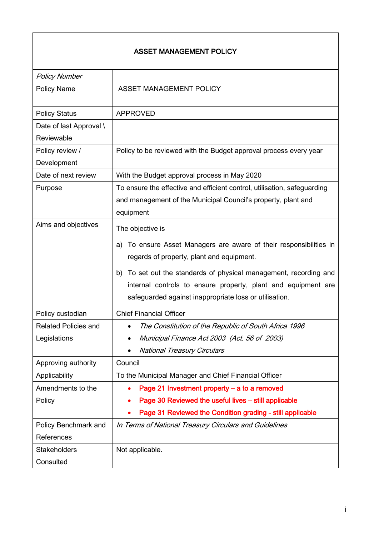#### ASSET MANAGEMENT POLICY

| <b>Policy Number</b>        |                                                                                                                                                                                                 |  |  |
|-----------------------------|-------------------------------------------------------------------------------------------------------------------------------------------------------------------------------------------------|--|--|
| <b>Policy Name</b>          | <b>ASSET MANAGEMENT POLICY</b>                                                                                                                                                                  |  |  |
| <b>Policy Status</b>        | <b>APPROVED</b>                                                                                                                                                                                 |  |  |
| Date of last Approval \     |                                                                                                                                                                                                 |  |  |
| Reviewable                  |                                                                                                                                                                                                 |  |  |
| Policy review /             | Policy to be reviewed with the Budget approval process every year                                                                                                                               |  |  |
| Development                 |                                                                                                                                                                                                 |  |  |
| Date of next review         | With the Budget approval process in May 2020                                                                                                                                                    |  |  |
| Purpose                     | To ensure the effective and efficient control, utilisation, safeguarding                                                                                                                        |  |  |
|                             | and management of the Municipal Council's property, plant and                                                                                                                                   |  |  |
|                             | equipment                                                                                                                                                                                       |  |  |
| Aims and objectives         | The objective is                                                                                                                                                                                |  |  |
|                             | To ensure Asset Managers are aware of their responsibilities in<br>a)                                                                                                                           |  |  |
|                             | regards of property, plant and equipment.                                                                                                                                                       |  |  |
|                             | To set out the standards of physical management, recording and<br>b)<br>internal controls to ensure property, plant and equipment are<br>safeguarded against inappropriate loss or utilisation. |  |  |
| Policy custodian            | <b>Chief Financial Officer</b>                                                                                                                                                                  |  |  |
| <b>Related Policies and</b> | The Constitution of the Republic of South Africa 1996                                                                                                                                           |  |  |
| Legislations                | Municipal Finance Act 2003 (Act. 56 of 2003)                                                                                                                                                    |  |  |
|                             | <b>National Treasury Circulars</b>                                                                                                                                                              |  |  |
| Approving authority         | Council                                                                                                                                                                                         |  |  |
| Applicability               | To the Municipal Manager and Chief Financial Officer                                                                                                                                            |  |  |
| Amendments to the           | Page 21 Investment property - a to a removed<br>$\bullet$                                                                                                                                       |  |  |
| Policy                      | Page 30 Reviewed the useful lives - still applicable                                                                                                                                            |  |  |
|                             | Page 31 Reviewed the Condition grading - still applicable                                                                                                                                       |  |  |
| Policy Benchmark and        | In Terms of National Treasury Circulars and Guidelines                                                                                                                                          |  |  |
| References                  |                                                                                                                                                                                                 |  |  |
| <b>Stakeholders</b>         | Not applicable.                                                                                                                                                                                 |  |  |
| Consulted                   |                                                                                                                                                                                                 |  |  |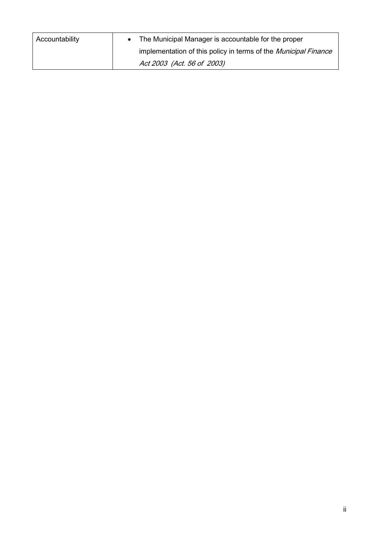| Accountability | • The Municipal Manager is accountable for the proper                  |
|----------------|------------------------------------------------------------------------|
|                | implementation of this policy in terms of the <i>Municipal Finance</i> |
|                | Act 2003 (Act. 56 of 2003)                                             |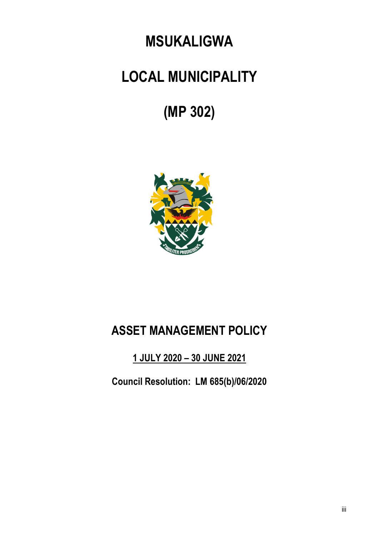## **MSUKALIGWA**

# **LOCAL MUNICIPALITY**

# **(MP 302)**



## **ASSET MANAGEMENT POLICY**

### **1 JULY 2020 – 30 JUNE 2021**

**Council Resolution: LM 685(b)/06/2020**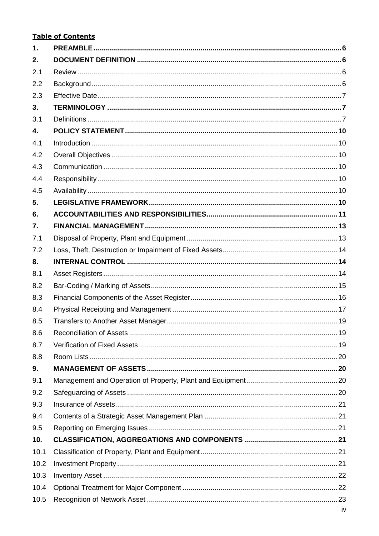#### **Table of Contents**

| 1.   |  |
|------|--|
| 2.   |  |
| 2.1  |  |
| 2.2  |  |
| 2.3  |  |
| 3.   |  |
| 3.1  |  |
| 4.   |  |
| 4.1  |  |
| 4.2  |  |
| 4.3  |  |
| 4.4  |  |
| 4.5  |  |
| 5.   |  |
| 6.   |  |
| 7.   |  |
| 7.1  |  |
| 7.2  |  |
| 8.   |  |
| 8.1  |  |
| 8.2  |  |
| 8.3  |  |
| 8.4  |  |
| 8.5  |  |
| 8.6  |  |
| 8.7  |  |
| 8.8  |  |
| 9.   |  |
| 9.1  |  |
| 9.2  |  |
| 9.3  |  |
| 9.4  |  |
| 9.5  |  |
| 10.  |  |
| 10.1 |  |
| 10.2 |  |
| 10.3 |  |
| 10.4 |  |
| 10.5 |  |
|      |  |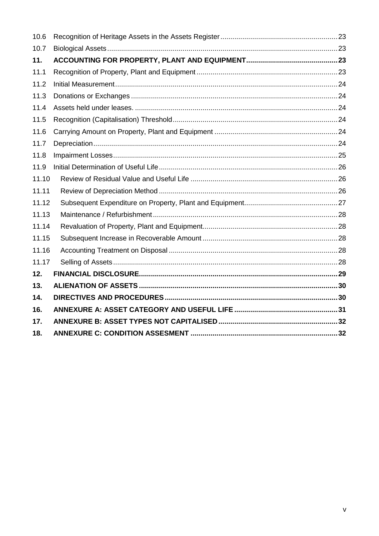| 10.6  |  |
|-------|--|
| 10.7  |  |
| 11.   |  |
| 11.1  |  |
| 11.2  |  |
| 11.3  |  |
| 11.4  |  |
| 11.5  |  |
| 11.6  |  |
| 11.7  |  |
| 11.8  |  |
| 11.9  |  |
| 11.10 |  |
| 11.11 |  |
| 11.12 |  |
| 11.13 |  |
| 11.14 |  |
| 11.15 |  |
| 11.16 |  |
| 11.17 |  |
| 12.   |  |
| 13.   |  |
| 14.   |  |
| 16.   |  |
| 17.   |  |
| 18.   |  |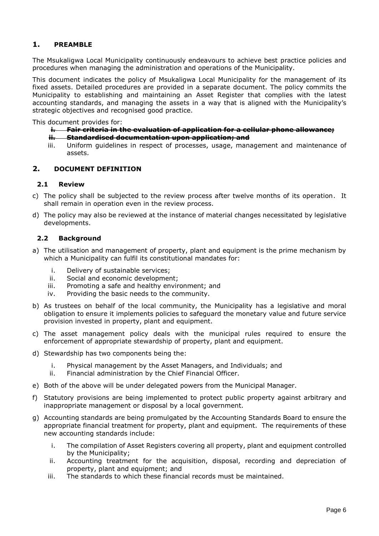#### <span id="page-5-0"></span>**1. PREAMBLE**

The Msukaligwa Local Municipality continuously endeavours to achieve best practice policies and procedures when managing the administration and operations of the Municipality.

This document indicates the policy of Msukaligwa Local Municipality for the management of its fixed assets. Detailed procedures are provided in a separate document. The policy commits the Municipality to establishing and maintaining an Asset Register that complies with the latest accounting standards, and managing the assets in a way that is aligned with the Municipality's strategic objectives and recognised good practice.

This document provides for:

- **i. Fair criteria in the evaluation of application for a cellular phone allowance;**
- **ii. Standardised documentation upon application; and**
- iii. Uniform guidelines in respect of processes, usage, management and maintenance of assets.

#### <span id="page-5-1"></span>**2. DOCUMENT DEFINITION**

#### <span id="page-5-2"></span>**2.1 Review**

- c) The policy shall be subjected to the review process after twelve months of its operation. It shall remain in operation even in the review process.
- d) The policy may also be reviewed at the instance of material changes necessitated by legislative developments.

#### <span id="page-5-3"></span>**2.2 Background**

- a) The utilisation and management of property, plant and equipment is the prime mechanism by which a Municipality can fulfil its constitutional mandates for:
	- i. Delivery of sustainable services;
	- ii. Social and economic development;
	- iii. Promoting a safe and healthy environment; and
	- iv. Providing the basic needs to the community.
- b) As trustees on behalf of the local community, the Municipality has a legislative and moral obligation to ensure it implements policies to safeguard the monetary value and future service provision invested in property, plant and equipment.
- c) The asset management policy deals with the municipal rules required to ensure the enforcement of appropriate stewardship of property, plant and equipment.
- d) Stewardship has two components being the:
	- i. Physical management by the Asset Managers, and Individuals; and
	- ii. Financial administration by the Chief Financial Officer.
- e) Both of the above will be under delegated powers from the Municipal Manager.
- f) Statutory provisions are being implemented to protect public property against arbitrary and inappropriate management or disposal by a local government.
- g) Accounting standards are being promulgated by the Accounting Standards Board to ensure the appropriate financial treatment for property, plant and equipment. The requirements of these new accounting standards include:
	- i. The compilation of Asset Registers covering all property, plant and equipment controlled by the Municipality;
	- ii. Accounting treatment for the acquisition, disposal, recording and depreciation of property, plant and equipment; and
	- iii. The standards to which these financial records must be maintained.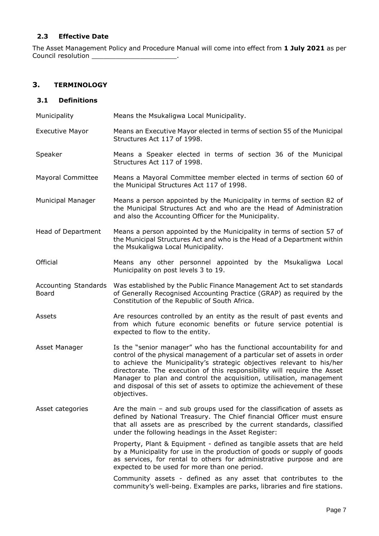#### <span id="page-6-0"></span>**2.3 Effective Date**

The Asset Management Policy and Procedure Manual will come into effect from **1 July 2021** as per Council resolution \_\_\_\_\_\_\_\_\_\_\_\_\_\_\_\_\_\_\_\_\_\_\_\_\_\_\_.

#### <span id="page-6-1"></span>**3. TERMINOLOGY**

#### <span id="page-6-2"></span>**3.1 Definitions**

| Municipality                         | Means the Msukaligwa Local Municipality.                                                                                                                                                                                                                                                                                                                                                                                                                                   |
|--------------------------------------|----------------------------------------------------------------------------------------------------------------------------------------------------------------------------------------------------------------------------------------------------------------------------------------------------------------------------------------------------------------------------------------------------------------------------------------------------------------------------|
| <b>Executive Mayor</b>               | Means an Executive Mayor elected in terms of section 55 of the Municipal<br>Structures Act 117 of 1998.                                                                                                                                                                                                                                                                                                                                                                    |
| Speaker                              | Means a Speaker elected in terms of section 36 of the Municipal<br>Structures Act 117 of 1998.                                                                                                                                                                                                                                                                                                                                                                             |
| <b>Mayoral Committee</b>             | Means a Mayoral Committee member elected in terms of section 60 of<br>the Municipal Structures Act 117 of 1998.                                                                                                                                                                                                                                                                                                                                                            |
| Municipal Manager                    | Means a person appointed by the Municipality in terms of section 82 of<br>the Municipal Structures Act and who are the Head of Administration<br>and also the Accounting Officer for the Municipality.                                                                                                                                                                                                                                                                     |
| Head of Department                   | Means a person appointed by the Municipality in terms of section 57 of<br>the Municipal Structures Act and who is the Head of a Department within<br>the Msukaligwa Local Municipality.                                                                                                                                                                                                                                                                                    |
| Official                             | Means any other personnel appointed by the Msukaligwa Local<br>Municipality on post levels 3 to 19.                                                                                                                                                                                                                                                                                                                                                                        |
| <b>Accounting Standards</b><br>Board | Was established by the Public Finance Management Act to set standards<br>of Generally Recognised Accounting Practice (GRAP) as required by the<br>Constitution of the Republic of South Africa.                                                                                                                                                                                                                                                                            |
| Assets                               | Are resources controlled by an entity as the result of past events and<br>from which future economic benefits or future service potential is<br>expected to flow to the entity.                                                                                                                                                                                                                                                                                            |
| Asset Manager                        | Is the "senior manager" who has the functional accountability for and<br>control of the physical management of a particular set of assets in order<br>to achieve the Municipality's strategic objectives relevant to his/her<br>directorate. The execution of this responsibility will require the Asset<br>Manager to plan and control the acquisition, utilisation, management<br>and disposal of this set of assets to optimize the achievement of these<br>objectives. |
| Asset categories                     | Are the main $-$ and sub groups used for the classification of assets as<br>defined by National Treasury. The Chief financial Officer must ensure<br>that all assets are as prescribed by the current standards, classified<br>under the following headings in the Asset Register:                                                                                                                                                                                         |
|                                      | Property, Plant & Equipment - defined as tangible assets that are held<br>by a Municipality for use in the production of goods or supply of goods<br>as services, for rental to others for administrative purpose and are<br>expected to be used for more than one period.                                                                                                                                                                                                 |
|                                      | Community assets - defined as any asset that contributes to the<br>community's well-being. Examples are parks, libraries and fire stations.                                                                                                                                                                                                                                                                                                                                |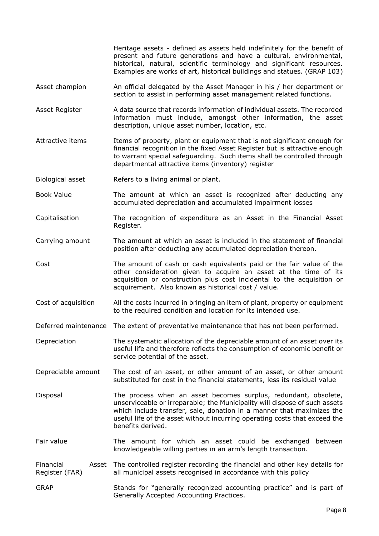Heritage assets - defined as assets held indefinitely for the benefit of present and future generations and have a cultural, environmental, historical, natural, scientific terminology and significant resources. Examples are works of art, historical buildings and statues. (GRAP 103)

- Asset champion An official delegated by the Asset Manager in his / her department or section to assist in performing asset management related functions.
- Asset Register A data source that records information of individual assets. The recorded information must include, amongst other information, the asset description, unique asset number, location, etc.
- Attractive items Items of property, plant or equipment that is not significant enough for financial recognition in the fixed Asset Register but is attractive enough to warrant special safeguarding. Such items shall be controlled through departmental attractive items (inventory) register
- Biological asset Refers to a living animal or plant.
- Book Value The amount at which an asset is recognized after deducting any accumulated depreciation and accumulated impairment losses
- Capitalisation The recognition of expenditure as an Asset in the Financial Asset Register.
- Carrying amount The amount at which an asset is included in the statement of financial position after deducting any accumulated depreciation thereon.
- Cost The amount of cash or cash equivalents paid or the fair value of the other consideration given to acquire an asset at the time of its acquisition or construction plus cost incidental to the acquisition or acquirement. Also known as historical cost / value.
- Cost of acquisition All the costs incurred in bringing an item of plant, property or equipment to the required condition and location for its intended use.
- Deferred maintenance The extent of preventative maintenance that has not been performed.
- Depreciation The systematic allocation of the depreciable amount of an asset over its useful life and therefore reflects the consumption of economic benefit or service potential of the asset.
- Depreciable amount The cost of an asset, or other amount of an asset, or other amount substituted for cost in the financial statements, less its residual value
- Disposal The process when an asset becomes surplus, redundant, obsolete, unserviceable or irreparable; the Municipality will dispose of such assets which include transfer, sale, donation in a manner that maximizes the useful life of the asset without incurring operating costs that exceed the benefits derived.
- Fair value The amount for which an asset could be exchanged between knowledgeable willing parties in an arm's length transaction.

Financial Register (FAR) The controlled register recording the financial and other key details for all municipal assets recognised in accordance with this policy

GRAP Stands for "generally recognized accounting practice" and is part of Generally Accepted Accounting Practices.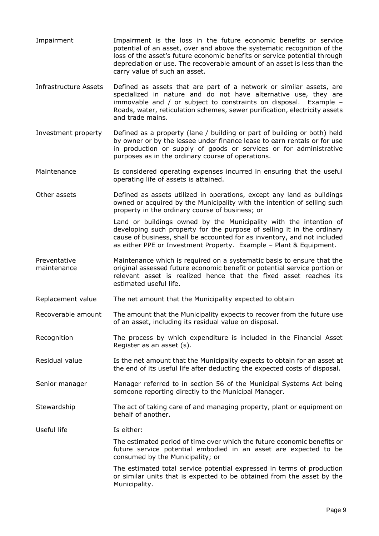- Impairment Impairment is the loss in the future economic benefits or service potential of an asset, over and above the systematic recognition of the loss of the asset's future economic benefits or service potential through depreciation or use. The recoverable amount of an asset is less than the carry value of such an asset.
- Infrastructure Assets Defined as assets that are part of a network or similar assets, are specialized in nature and do not have alternative use, they are immovable and / or subject to constraints on disposal. Example – Roads, water, reticulation schemes, sewer purification, electricity assets and trade mains.
- Investment property Defined as a property (lane / building or part of building or both) held by owner or by the lessee under finance lease to earn rentals or for use in production or supply of goods or services or for administrative purposes as in the ordinary course of operations.
- Maintenance **IS considered operating expenses incurred in ensuring that the useful** operating life of assets is attained.
- Other assets Defined as assets utilized in operations, except any land as buildings owned or acquired by the Municipality with the intention of selling such property in the ordinary course of business; or

Land or buildings owned by the Municipality with the intention of developing such property for the purpose of selling it in the ordinary cause of business, shall be accounted for as inventory, and not included as either PPE or Investment Property. Example – Plant & Equipment.

- Preventative maintenance Maintenance which is required on a systematic basis to ensure that the original assessed future economic benefit or potential service portion or relevant asset is realized hence that the fixed asset reaches its estimated useful life.
- Replacement value The net amount that the Municipality expected to obtain
- Recoverable amount The amount that the Municipality expects to recover from the future use of an asset, including its residual value on disposal.
- Recognition The process by which expenditure is included in the Financial Asset Register as an asset (s).
- Residual value Is the net amount that the Municipality expects to obtain for an asset at the end of its useful life after deducting the expected costs of disposal.
- Senior manager Manager referred to in section 56 of the Municipal Systems Act being someone reporting directly to the Municipal Manager.
- Stewardship The act of taking care of and managing property, plant or equipment on behalf of another.
- Useful life The Is either:

The estimated period of time over which the future economic benefits or future service potential embodied in an asset are expected to be consumed by the Municipality; or

The estimated total service potential expressed in terms of production or similar units that is expected to be obtained from the asset by the Municipality.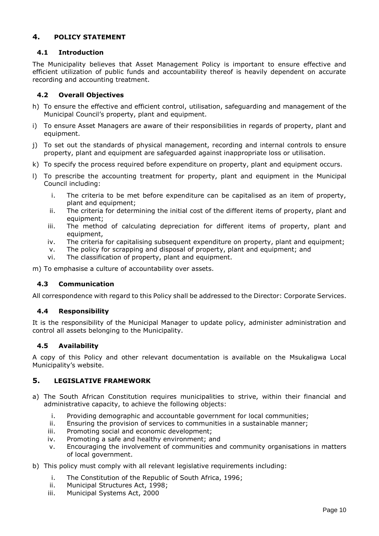#### <span id="page-9-0"></span>**4. POLICY STATEMENT**

#### <span id="page-9-1"></span>**4.1 Introduction**

The Municipality believes that Asset Management Policy is important to ensure effective and efficient utilization of public funds and accountability thereof is heavily dependent on accurate recording and accounting treatment.

#### <span id="page-9-2"></span>**4.2 Overall Objectives**

- h) To ensure the effective and efficient control, utilisation, safeguarding and management of the Municipal Council's property, plant and equipment.
- i) To ensure Asset Managers are aware of their responsibilities in regards of property, plant and equipment.
- j) To set out the standards of physical management, recording and internal controls to ensure property, plant and equipment are safeguarded against inappropriate loss or utilisation.
- k) To specify the process required before expenditure on property, plant and equipment occurs.
- l) To prescribe the accounting treatment for property, plant and equipment in the Municipal Council including:
	- i. The criteria to be met before expenditure can be capitalised as an item of property, plant and equipment;
	- ii. The criteria for determining the initial cost of the different items of property, plant and equipment;
	- iii. The method of calculating depreciation for different items of property, plant and equipment,
	- iv. The criteria for capitalising subsequent expenditure on property, plant and equipment;
	- v. The policy for scrapping and disposal of property, plant and equipment; and
	- vi. The classification of property, plant and equipment.

m) To emphasise a culture of accountability over assets.

#### <span id="page-9-3"></span>**4.3 Communication**

All correspondence with regard to this Policy shall be addressed to the Director: Corporate Services.

#### <span id="page-9-4"></span>**4.4 Responsibility**

It is the responsibility of the Municipal Manager to update policy, administer administration and control all assets belonging to the Municipality.

#### <span id="page-9-5"></span>**4.5 Availability**

A copy of this Policy and other relevant documentation is available on the Msukaligwa Local Municipality's website.

#### <span id="page-9-6"></span>**5. LEGISLATIVE FRAMEWORK**

- a) The South African Constitution requires municipalities to strive, within their financial and administrative capacity, to achieve the following objects:
	- i. Providing demographic and accountable government for local communities;
	- ii. Ensuring the provision of services to communities in a sustainable manner;
	- iii. Promoting social and economic development;
	- iv. Promoting a safe and healthy environment; and
	- v. Encouraging the involvement of communities and community organisations in matters of local government.
- b) This policy must comply with all relevant legislative requirements including:
	- i. The Constitution of the Republic of South Africa, 1996;
	- ii. Municipal Structures Act, 1998;
	- iii. Municipal Systems Act, 2000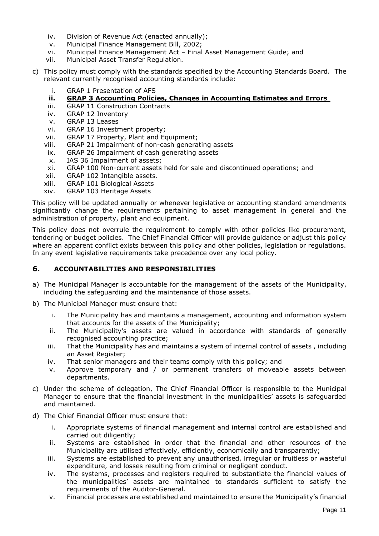- iv. Division of Revenue Act (enacted annually);
- v. Municipal Finance Management Bill, 2002;
- vi. Municipal Finance Management Act Final Asset Management Guide; and
- vii. Municipal Asset Transfer Regulation.
- c) This policy must comply with the standards specified by the Accounting Standards Board. The relevant currently recognised accounting standards include:
	- i. GRAP 1 Presentation of AFS

#### **ii. GRAP 3 Accounting Policies, Changes in Accounting Estimates and Errors**

- iii. GRAP 11 Construction Contracts
- iv. GRAP 12 Inventory
- v. GRAP 13 Leases
- vi. GRAP 16 Investment property;
- vii. GRAP 17 Property, Plant and Equipment;
- viii. GRAP 21 Impairment of non-cash generating assets
- ix. GRAP 26 Impairment of cash generating assets
- x. IAS 36 Impairment of assets;
- xi. GRAP 100 Non-current assets held for sale and discontinued operations; and
- xii. GRAP 102 Intangible assets.
- xiii. GRAP 101 Biological Assets
- xiv. GRAP 103 Heritage Assets

This policy will be updated annually or whenever legislative or accounting standard amendments significantly change the requirements pertaining to asset management in general and the administration of property, plant and equipment.

This policy does not overrule the requirement to comply with other policies like procurement, tendering or budget policies. The Chief Financial Officer will provide guidance or adjust this policy where an apparent conflict exists between this policy and other policies, legislation or regulations. In any event legislative requirements take precedence over any local policy.

#### <span id="page-10-0"></span>**6. ACCOUNTABILITIES AND RESPONSIBILITIES**

- a) The Municipal Manager is accountable for the management of the assets of the Municipality, including the safeguarding and the maintenance of those assets.
- b) The Municipal Manager must ensure that:
	- i. The Municipality has and maintains a management, accounting and information system that accounts for the assets of the Municipality;
	- ii. The Municipality's assets are valued in accordance with standards of generally recognised accounting practice;
	- iii. That the Municipality has and maintains a system of internal control of assets , including an Asset Register;
	- iv. That senior managers and their teams comply with this policy; and
	- v. Approve temporary and / or permanent transfers of moveable assets between departments.
- c) Under the scheme of delegation, The Chief Financial Officer is responsible to the Municipal Manager to ensure that the financial investment in the municipalities' assets is safeguarded and maintained.
- d) The Chief Financial Officer must ensure that:
	- i. Appropriate systems of financial management and internal control are established and carried out diligently;
	- ii. Systems are established in order that the financial and other resources of the Municipality are utilised effectively, efficiently, economically and transparently;
	- iii. Systems are established to prevent any unauthorised, irregular or fruitless or wasteful expenditure, and losses resulting from criminal or negligent conduct.
	- iv. The systems, processes and registers required to substantiate the financial values of the municipalities' assets are maintained to standards sufficient to satisfy the requirements of the Auditor-General.
	- v. Financial processes are established and maintained to ensure the Municipality's financial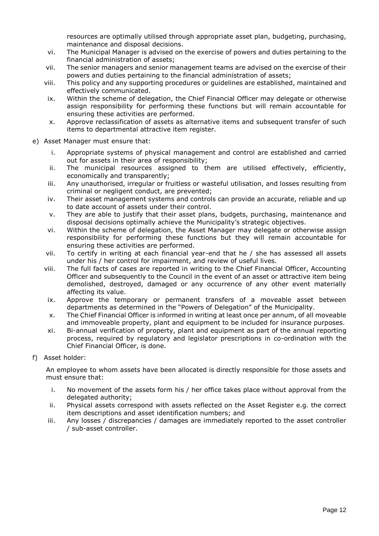resources are optimally utilised through appropriate asset plan, budgeting, purchasing, maintenance and disposal decisions.

- vi. The Municipal Manager is advised on the exercise of powers and duties pertaining to the financial administration of assets;
- vii. The senior managers and senior management teams are advised on the exercise of their powers and duties pertaining to the financial administration of assets;
- viii. This policy and any supporting procedures or guidelines are established, maintained and effectively communicated.
- ix. Within the scheme of delegation, the Chief Financial Officer may delegate or otherwise assign responsibility for performing these functions but will remain accountable for ensuring these activities are performed.
- x. Approve reclassification of assets as alternative items and subsequent transfer of such items to departmental attractive item register.
- e) Asset Manager must ensure that:
	- i. Appropriate systems of physical management and control are established and carried out for assets in their area of responsibility;
	- ii. The municipal resources assigned to them are utilised effectively, efficiently, economically and transparently;
	- iii. Any unauthorised, irregular or fruitless or wasteful utilisation, and losses resulting from criminal or negligent conduct, are prevented;
	- iv. Their asset management systems and controls can provide an accurate, reliable and up to date account of assets under their control.
	- v. They are able to justify that their asset plans, budgets, purchasing, maintenance and disposal decisions optimally achieve the Municipality's strategic objectives.
	- vi. Within the scheme of delegation, the Asset Manager may delegate or otherwise assign responsibility for performing these functions but they will remain accountable for ensuring these activities are performed.
	- vii. To certify in writing at each financial year-end that he / she has assessed all assets under his / her control for impairment, and review of useful lives.
	- viii. The full facts of cases are reported in writing to the Chief Financial Officer, Accounting Officer and subsequently to the Council in the event of an asset or attractive item being demolished, destroyed, damaged or any occurrence of any other event materially affecting its value.
	- ix. Approve the temporary or permanent transfers of a moveable asset between departments as determined in the "Powers of Delegation" of the Municipality.
	- x. The Chief Financial Officer is informed in writing at least once per annum, of all moveable and immoveable property, plant and equipment to be included for insurance purposes.
	- xi. Bi-annual verification of property, plant and equipment as part of the annual reporting process, required by regulatory and legislator prescriptions in co-ordination with the Chief Financial Officer, is done.
- f) Asset holder:

An employee to whom assets have been allocated is directly responsible for those assets and must ensure that:

- i. No movement of the assets form his / her office takes place without approval from the delegated authority;
- ii. Physical assets correspond with assets reflected on the Asset Register e.g. the correct item descriptions and asset identification numbers; and
- iii. Any losses / discrepancies / damages are immediately reported to the asset controller / sub-asset controller.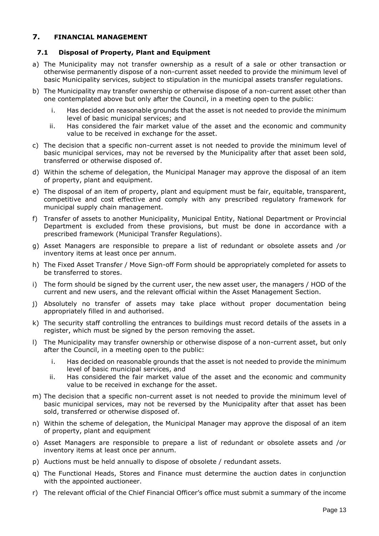#### <span id="page-12-0"></span>**7. FINANCIAL MANAGEMENT**

#### <span id="page-12-1"></span>**7.1 Disposal of Property, Plant and Equipment**

- a) The Municipality may not transfer ownership as a result of a sale or other transaction or otherwise permanently dispose of a non-current asset needed to provide the minimum level of basic Municipality services, subject to stipulation in the municipal assets transfer regulations.
- b) The Municipality may transfer ownership or otherwise dispose of a non-current asset other than one contemplated above but only after the Council, in a meeting open to the public:
	- i. Has decided on reasonable grounds that the asset is not needed to provide the minimum level of basic municipal services; and
	- ii. Has considered the fair market value of the asset and the economic and community value to be received in exchange for the asset.
- c) The decision that a specific non-current asset is not needed to provide the minimum level of basic municipal services, may not be reversed by the Municipality after that asset been sold, transferred or otherwise disposed of.
- d) Within the scheme of delegation, the Municipal Manager may approve the disposal of an item of property, plant and equipment.
- e) The disposal of an item of property, plant and equipment must be fair, equitable, transparent, competitive and cost effective and comply with any prescribed regulatory framework for municipal supply chain management.
- f) Transfer of assets to another Municipality, Municipal Entity, National Department or Provincial Department is excluded from these provisions, but must be done in accordance with a prescribed framework (Municipal Transfer Regulations).
- g) Asset Managers are responsible to prepare a list of redundant or obsolete assets and /or inventory items at least once per annum.
- h) The Fixed Asset Transfer / Move Sign-off Form should be appropriately completed for assets to be transferred to stores.
- i) The form should be signed by the current user, the new asset user, the managers / HOD of the current and new users, and the relevant official within the Asset Management Section.
- j) Absolutely no transfer of assets may take place without proper documentation being appropriately filled in and authorised.
- k) The security staff controlling the entrances to buildings must record details of the assets in a register, which must be signed by the person removing the asset.
- l) The Municipality may transfer ownership or otherwise dispose of a non-current asset, but only after the Council, in a meeting open to the public:
	- i. Has decided on reasonable grounds that the asset is not needed to provide the minimum level of basic municipal services, and
	- ii. Has considered the fair market value of the asset and the economic and community value to be received in exchange for the asset.
- m) The decision that a specific non-current asset is not needed to provide the minimum level of basic municipal services, may not be reversed by the Municipality after that asset has been sold, transferred or otherwise disposed of.
- n) Within the scheme of delegation, the Municipal Manager may approve the disposal of an item of property, plant and equipment
- o) Asset Managers are responsible to prepare a list of redundant or obsolete assets and /or inventory items at least once per annum.
- p) Auctions must be held annually to dispose of obsolete / redundant assets.
- q) The Functional Heads, Stores and Finance must determine the auction dates in conjunction with the appointed auctioneer.
- r) The relevant official of the Chief Financial Officer's office must submit a summary of the income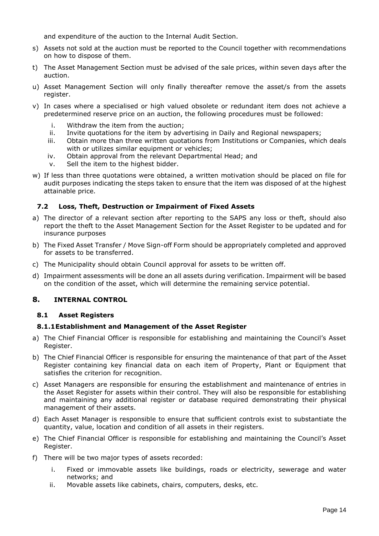and expenditure of the auction to the Internal Audit Section.

- s) Assets not sold at the auction must be reported to the Council together with recommendations on how to dispose of them.
- t) The Asset Management Section must be advised of the sale prices, within seven days after the auction.
- u) Asset Management Section will only finally thereafter remove the asset/s from the assets register.
- v) In cases where a specialised or high valued obsolete or redundant item does not achieve a predetermined reserve price on an auction, the following procedures must be followed:
	- i. Withdraw the item from the auction;
	- ii. Invite quotations for the item by advertising in Daily and Regional newspapers;
	- iii. Obtain more than three written quotations from Institutions or Companies, which deals with or utilizes similar equipment or vehicles;
	- iv. Obtain approval from the relevant Departmental Head; and
	- v. Sell the item to the highest bidder.
- w) If less than three quotations were obtained, a written motivation should be placed on file for audit purposes indicating the steps taken to ensure that the item was disposed of at the highest attainable price.

#### <span id="page-13-0"></span>**7.2 Loss, Theft, Destruction or Impairment of Fixed Assets**

- a) The director of a relevant section after reporting to the SAPS any loss or theft, should also report the theft to the Asset Management Section for the Asset Register to be updated and for insurance purposes
- b) The Fixed Asset Transfer / Move Sign-off Form should be appropriately completed and approved for assets to be transferred.
- c) The Municipality should obtain Council approval for assets to be written off.
- d) Impairment assessments will be done an all assets during verification. Impairment will be based on the condition of the asset, which will determine the remaining service potential.

#### <span id="page-13-1"></span>**8. INTERNAL CONTROL**

#### <span id="page-13-2"></span>**8.1 Asset Registers**

#### **8.1.1Establishment and Management of the Asset Register**

- a) The Chief Financial Officer is responsible for establishing and maintaining the Council's Asset Register.
- b) The Chief Financial Officer is responsible for ensuring the maintenance of that part of the Asset Register containing key financial data on each item of Property, Plant or Equipment that satisfies the criterion for recognition.
- c) Asset Managers are responsible for ensuring the establishment and maintenance of entries in the Asset Register for assets within their control. They will also be responsible for establishing and maintaining any additional register or database required demonstrating their physical management of their assets.
- d) Each Asset Manager is responsible to ensure that sufficient controls exist to substantiate the quantity, value, location and condition of all assets in their registers.
- e) The Chief Financial Officer is responsible for establishing and maintaining the Council's Asset Register.
- f) There will be two major types of assets recorded:
	- i. Fixed or immovable assets like buildings, roads or electricity, sewerage and water networks; and
	- ii. Movable assets like cabinets, chairs, computers, desks, etc.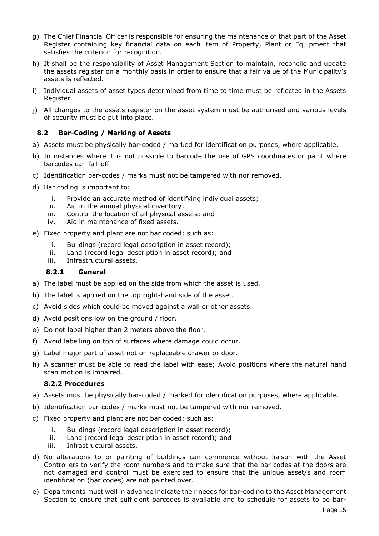- g) The Chief Financial Officer is responsible for ensuring the maintenance of that part of the Asset Register containing key financial data on each item of Property, Plant or Equipment that satisfies the criterion for recognition.
- h) It shall be the responsibility of Asset Management Section to maintain, reconcile and update the assets register on a monthly basis in order to ensure that a fair value of the Municipality's assets is reflected.
- i) Individual assets of asset types determined from time to time must be reflected in the Assets Register.
- j) All changes to the assets register on the asset system must be authorised and various levels of security must be put into place.

#### <span id="page-14-0"></span>**8.2 Bar-Coding / Marking of Assets**

- a) Assets must be physically bar-coded / marked for identification purposes, where applicable.
- b) In instances where it is not possible to barcode the use of GPS coordinates or paint where barcodes can fall-off
- c) Identification bar-codes / marks must not be tampered with nor removed.
- d) Bar coding is important to:
	- i. Provide an accurate method of identifying individual assets;
	- ii. Aid in the annual physical inventory;
	- iii. Control the location of all physical assets; and
	- iv. Aid in maintenance of fixed assets.
- e) Fixed property and plant are not bar coded; such as:
	- i. Buildings (record legal description in asset record);
	- ii. Land (record legal description in asset record); and
	- iii. Infrastructural assets.

#### **8.2.1 General**

- a) The label must be applied on the side from which the asset is used.
- b) The label is applied on the top right-hand side of the asset.
- c) Avoid sides which could be moved against a wall or other assets.
- d) Avoid positions low on the ground / floor.
- e) Do not label higher than 2 meters above the floor.
- f) Avoid labelling on top of surfaces where damage could occur.
- g) Label major part of asset not on replaceable drawer or door.
- h) A scanner must be able to read the label with ease; Avoid positions where the natural hand scan motion is impaired.

#### **8.2.2 Procedures**

- a) Assets must be physically bar-coded / marked for identification purposes, where applicable.
- b) Identification bar-codes / marks must not be tampered with nor removed.
- c) Fixed property and plant are not bar coded; such as:
	- i. Buildings (record legal description in asset record);
	- ii. Land (record legal description in asset record); and
	- iii. Infrastructural assets.
- d) No alterations to or painting of buildings can commence without liaison with the Asset Controllers to verify the room numbers and to make sure that the bar codes at the doors are not damaged and control must be exercised to ensure that the unique asset/s and room identification (bar codes) are not painted over.
- e) Departments must well in advance indicate their needs for bar-coding to the Asset Management Section to ensure that sufficient barcodes is available and to schedule for assets to be bar-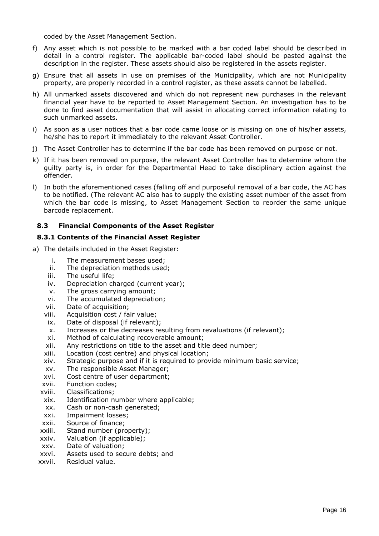coded by the Asset Management Section.

- f) Any asset which is not possible to be marked with a bar coded label should be described in detail in a control register. The applicable bar-coded label should be pasted against the description in the register. These assets should also be registered in the assets register.
- g) Ensure that all assets in use on premises of the Municipality, which are not Municipality property, are properly recorded in a control register, as these assets cannot be labelled.
- h) All unmarked assets discovered and which do not represent new purchases in the relevant financial year have to be reported to Asset Management Section. An investigation has to be done to find asset documentation that will assist in allocating correct information relating to such unmarked assets.
- i) As soon as a user notices that a bar code came loose or is missing on one of his/her assets, he/she has to report it immediately to the relevant Asset Controller.
- j) The Asset Controller has to determine if the bar code has been removed on purpose or not.
- k) If it has been removed on purpose, the relevant Asset Controller has to determine whom the guilty party is, in order for the Departmental Head to take disciplinary action against the offender.
- l) In both the aforementioned cases (falling off and purposeful removal of a bar code, the AC has to be notified. (The relevant AC also has to supply the existing asset number of the asset from which the bar code is missing, to Asset Management Section to reorder the same unique barcode replacement.

#### <span id="page-15-0"></span>**8.3 Financial Components of the Asset Register**

#### **8.3.1 Contents of the Financial Asset Register**

- a) The details included in the Asset Register:
	- i. The measurement bases used;
	- ii. The depreciation methods used;
	- iii. The useful life;
	- iv. Depreciation charged (current year);
	- v. The gross carrying amount;
	- vi. The accumulated depreciation;
	- vii. Date of acquisition;
	- viii. Acquisition cost / fair value;
	- ix. Date of disposal (if relevant);
	- x. Increases or the decreases resulting from revaluations (if relevant);
	- xi. Method of calculating recoverable amount;
	- xii. Any restrictions on title to the asset and title deed number;
	- xiii. Location (cost centre) and physical location;
	- xiv. Strategic purpose and if it is required to provide minimum basic service;
	- xv. The responsible Asset Manager;
	- xvi. Cost centre of user department;
	- xvii. Function codes;
	- xviii. Classifications;
	- xix. Identification number where applicable;
	- xx. Cash or non-cash generated;
	- xxi. Impairment losses;
	- xxii. Source of finance;
	- xxiii. Stand number (property);
	- xxiv. Valuation (if applicable);
	- xxv. Date of valuation;
	- xxvi. Assets used to secure debts; and
	- xxvii. Residual value.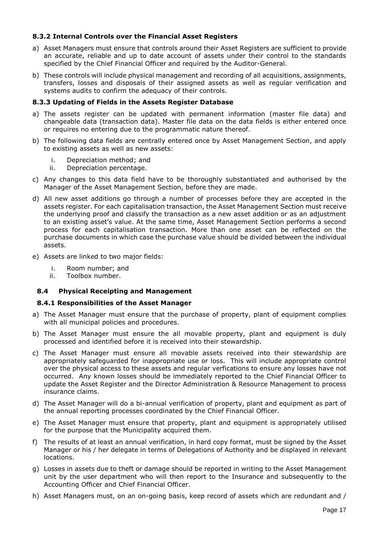#### **8.3.2 Internal Controls over the Financial Asset Registers**

- a) Asset Managers must ensure that controls around their Asset Registers are sufficient to provide an accurate, reliable and up to date account of assets under their control to the standards specified by the Chief Financial Officer and required by the Auditor-General.
- b) These controls will include physical management and recording of all acquisitions, assignments, transfers, losses and disposals of their assigned assets as well as regular verification and systems audits to confirm the adequacy of their controls.

#### **8.3.3 Updating of Fields in the Assets Register Database**

- a) The assets register can be updated with permanent information (master file data) and changeable data (transaction data). Master file data on the data fields is either entered once or requires no entering due to the programmatic nature thereof.
- b) The following data fields are centrally entered once by Asset Management Section, and apply to existing assets as well as new assets:
	- i. Depreciation method; and
	- ii. Depreciation percentage.
- c) Any changes to this data field have to be thoroughly substantiated and authorised by the Manager of the Asset Management Section, before they are made.
- d) All new asset additions go through a number of processes before they are accepted in the assets register. For each capitalisation transaction, the Asset Management Section must receive the underlying proof and classify the transaction as a new asset addition or as an adjustment to an existing asset's value. At the same time, Asset Management Section performs a second process for each capitalisation transaction. More than one asset can be reflected on the purchase documents in which case the purchase value should be divided between the individual assets.
- e) Assets are linked to two major fields:
	- i. Room number; and
	- ii. Toolbox number.

#### <span id="page-16-0"></span>**8.4 Physical Receipting and Management**

#### **8.4.1 Responsibilities of the Asset Manager**

- a) The Asset Manager must ensure that the purchase of property, plant of equipment complies with all municipal policies and procedures.
- b) The Asset Manager must ensure the all movable property, plant and equipment is duly processed and identified before it is received into their stewardship.
- c) The Asset Manager must ensure all movable assets received into their stewardship are appropriately safeguarded for inappropriate use or loss. This will include appropriate control over the physical access to these assets and regular verfications to ensure any losses have not occurred. Any known losses should be immediately reported to the Chief Financial Officer to update the Asset Register and the Director Administration & Resource Management to process insurance claims.
- d) The Asset Manager will do a bi-annual verification of property, plant and equipment as part of the annual reporting processes coordinated by the Chief Financial Officer.
- e) The Asset Manager must ensure that property, plant and equipment is appropriately utilised for the purpose that the Municipality acquired them.
- f) The results of at least an annual verification, in hard copy format, must be signed by the Asset Manager or his / her delegate in terms of Delegations of Authority and be displayed in relevant locations.
- g) Losses in assets due to theft or damage should be reported in writing to the Asset Management unit by the user department who will then report to the Insurance and subsequently to the Accounting Officer and Chief Financial Officer.
- h) Asset Managers must, on an on-going basis, keep record of assets which are redundant and /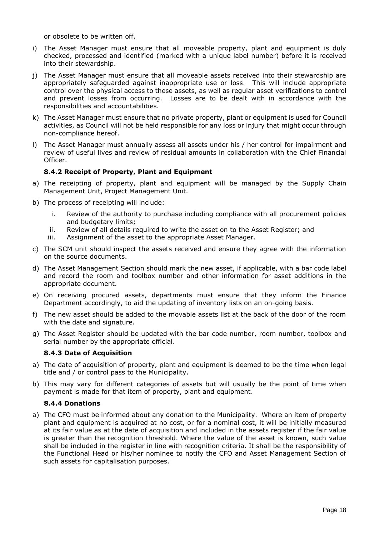or obsolete to be written off.

- i) The Asset Manager must ensure that all moveable property, plant and equipment is duly checked, processed and identified (marked with a unique label number) before it is received into their stewardship.
- j) The Asset Manager must ensure that all moveable assets received into their stewardship are appropriately safeguarded against inappropriate use or loss. This will include appropriate control over the physical access to these assets, as well as regular asset verifications to control and prevent losses from occurring. Losses are to be dealt with in accordance with the responsibilities and accountabilities.
- k) The Asset Manager must ensure that no private property, plant or equipment is used for Council activities, as Council will not be held responsible for any loss or injury that might occur through non-compliance hereof.
- l) The Asset Manager must annually assess all assets under his / her control for impairment and review of useful lives and review of residual amounts in collaboration with the Chief Financial Officer.

#### **8.4.2 Receipt of Property, Plant and Equipment**

- a) The receipting of property, plant and equipment will be managed by the Supply Chain Management Unit, Project Management Unit.
- b) The process of receipting will include:
	- i. Review of the authority to purchase including compliance with all procurement policies and budgetary limits;
	- ii. Review of all details required to write the asset on to the Asset Register; and
	- iii. Assignment of the asset to the appropriate Asset Manager.
- c) The SCM unit should inspect the assets received and ensure they agree with the information on the source documents.
- d) The Asset Management Section should mark the new asset, if applicable, with a bar code label and record the room and toolbox number and other information for asset additions in the appropriate document.
- e) On receiving procured assets, departments must ensure that they inform the Finance Department accordingly, to aid the updating of inventory lists on an on-going basis.
- f) The new asset should be added to the movable assets list at the back of the door of the room with the date and signature.
- g) The Asset Register should be updated with the bar code number, room number, toolbox and serial number by the appropriate official.

#### **8.4.3 Date of Acquisition**

- a) The date of acquisition of property, plant and equipment is deemed to be the time when legal title and / or control pass to the Municipality.
- b) This may vary for different categories of assets but will usually be the point of time when payment is made for that item of property, plant and equipment.

#### **8.4.4 Donations**

a) The CFO must be informed about any donation to the Municipality. Where an item of property plant and equipment is acquired at no cost, or for a nominal cost, it will be initially measured at its fair value as at the date of acquisition and included in the assets register if the fair value is greater than the recognition threshold. Where the value of the asset is known, such value shall be included in the register in line with recognition criteria. It shall be the responsibility of the Functional Head or his/her nominee to notify the CFO and Asset Management Section of such assets for capitalisation purposes.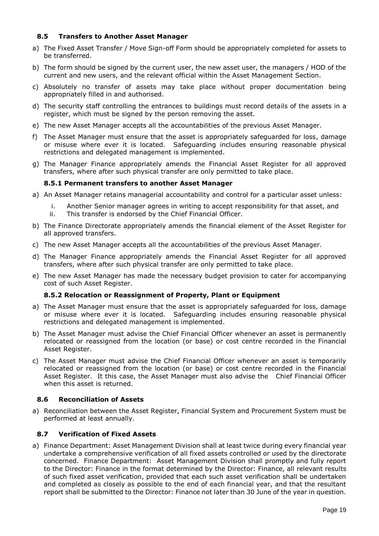#### <span id="page-18-0"></span>**8.5 Transfers to Another Asset Manager**

- a) The Fixed Asset Transfer / Move Sign-off Form should be appropriately completed for assets to be transferred.
- b) The form should be signed by the current user, the new asset user, the managers / HOD of the current and new users, and the relevant official within the Asset Management Section.
- c) Absolutely no transfer of assets may take place without proper documentation being appropriately filled in and authorised.
- d) The security staff controlling the entrances to buildings must record details of the assets in a register, which must be signed by the person removing the asset.
- e) The new Asset Manager accepts all the accountabilities of the previous Asset Manager.
- f) The Asset Manager must ensure that the asset is appropriately safeguarded for loss, damage or misuse where ever it is located. Safeguarding includes ensuring reasonable physical restrictions and delegated management is implemented.
- g) The Manager Finance appropriately amends the Financial Asset Register for all approved transfers, where after such physical transfer are only permitted to take place.

#### **8.5.1 Permanent transfers to another Asset Manager**

- a) An Asset Manager retains managerial accountability and control for a particular asset unless:
	- i. Another Senior manager agrees in writing to accept responsibility for that asset, and
	- ii. This transfer is endorsed by the Chief Financial Officer.
- b) The Finance Directorate appropriately amends the financial element of the Asset Register for all approved transfers.
- c) The new Asset Manager accepts all the accountabilities of the previous Asset Manager.
- d) The Manager Finance appropriately amends the Financial Asset Register for all approved transfers, where after such physical transfer are only permitted to take place.
- e) The new Asset Manager has made the necessary budget provision to cater for accompanying cost of such Asset Register.

#### **8.5.2 Relocation or Reassignment of Property, Plant or Equipment**

- a) The Asset Manager must ensure that the asset is appropriately safeguarded for loss, damage or misuse where ever it is located. Safeguarding includes ensuring reasonable physical restrictions and delegated management is implemented.
- b) The Asset Manager must advise the Chief Financial Officer whenever an asset is permanently relocated or reassigned from the location (or base) or cost centre recorded in the Financial Asset Register.
- c) The Asset Manager must advise the Chief Financial Officer whenever an asset is temporarily relocated or reassigned from the location (or base) or cost centre recorded in the Financial Asset Register. It this case, the Asset Manager must also advise the Chief Financial Officer when this asset is returned.

#### <span id="page-18-1"></span>**8.6 Reconciliation of Assets**

a) Reconciliation between the Asset Register, Financial System and Procurement System must be performed at least annually.

#### <span id="page-18-2"></span>**8.7 Verification of Fixed Assets**

a) Finance Department: Asset Management Division shall at least twice during every financial year undertake a comprehensive verification of all fixed assets controlled or used by the directorate concerned. Finance Department: Asset Management Division shall promptly and fully report to the Director: Finance in the format determined by the Director: Finance, all relevant results of such fixed asset verification, provided that each such asset verification shall be undertaken and completed as closely as possible to the end of each financial year, and that the resultant report shall be submitted to the Director: Finance not later than 30 June of the year in question.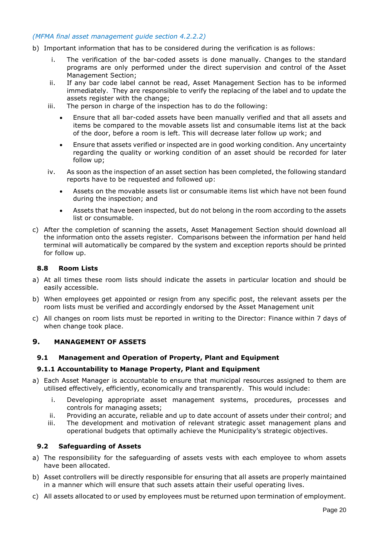#### *(MFMA final asset management guide section 4.2.2.2)*

- b) Important information that has to be considered during the verification is as follows:
	- i. The verification of the bar-coded assets is done manually. Changes to the standard programs are only performed under the direct supervision and control of the Asset Management Section;
	- ii. If any bar code label cannot be read, Asset Management Section has to be informed immediately. They are responsible to verify the replacing of the label and to update the assets register with the change;
	- iii. The person in charge of the inspection has to do the following:
		- Ensure that all bar-coded assets have been manually verified and that all assets and items be compared to the movable assets list and consumable items list at the back of the door, before a room is left. This will decrease later follow up work; and
		- Ensure that assets verified or inspected are in good working condition. Any uncertainty regarding the quality or working condition of an asset should be recorded for later follow up;
	- iv. As soon as the inspection of an asset section has been completed, the following standard reports have to be requested and followed up:
		- Assets on the movable assets list or consumable items list which have not been found during the inspection; and
		- Assets that have been inspected, but do not belong in the room according to the assets list or consumable.
- c) After the completion of scanning the assets, Asset Management Section should download all the information onto the assets register. Comparisons between the information per hand held terminal will automatically be compared by the system and exception reports should be printed for follow up.

#### <span id="page-19-0"></span>**8.8 Room Lists**

- a) At all times these room lists should indicate the assets in particular location and should be easily accessible.
- b) When employees get appointed or resign from any specific post, the relevant assets per the room lists must be verified and accordingly endorsed by the Asset Management unit
- c) All changes on room lists must be reported in writing to the Director: Finance within 7 days of when change took place.

#### <span id="page-19-1"></span>**9. MANAGEMENT OF ASSETS**

#### <span id="page-19-2"></span>**9.1 Management and Operation of Property, Plant and Equipment**

#### **9.1.1 Accountability to Manage Property, Plant and Equipment**

- a) Each Asset Manager is accountable to ensure that municipal resources assigned to them are utilised effectively, efficiently, economically and transparently. This would include:
	- i. Developing appropriate asset management systems, procedures, processes and controls for managing assets;
	- ii. Providing an accurate, reliable and up to date account of assets under their control; and
	- iii. The development and motivation of relevant strategic asset management plans and operational budgets that optimally achieve the Municipality's strategic objectives.

#### <span id="page-19-3"></span>**9.2 Safeguarding of Assets**

- a) The responsibility for the safeguarding of assets vests with each employee to whom assets have been allocated.
- b) Asset controllers will be directly responsible for ensuring that all assets are properly maintained in a manner which will ensure that such assets attain their useful operating lives.
- c) All assets allocated to or used by employees must be returned upon termination of employment.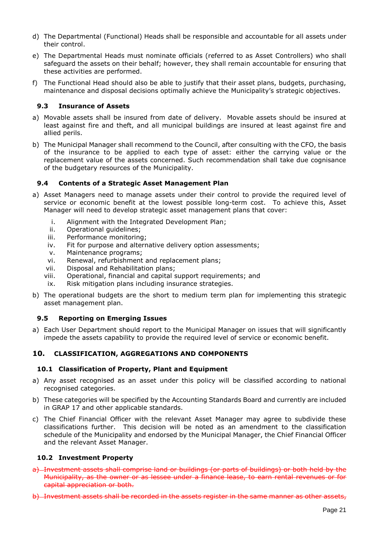- d) The Departmental (Functional) Heads shall be responsible and accountable for all assets under their control.
- e) The Departmental Heads must nominate officials (referred to as Asset Controllers) who shall safeguard the assets on their behalf; however, they shall remain accountable for ensuring that these activities are performed.
- f) The Functional Head should also be able to justify that their asset plans, budgets, purchasing, maintenance and disposal decisions optimally achieve the Municipality's strategic objectives.

#### <span id="page-20-0"></span>**9.3 Insurance of Assets**

- a) Movable assets shall be insured from date of delivery. Movable assets should be insured at least against fire and theft, and all municipal buildings are insured at least against fire and allied perils.
- b) The Municipal Manager shall recommend to the Council, after consulting with the CFO, the basis of the insurance to be applied to each type of asset: either the carrying value or the replacement value of the assets concerned. Such recommendation shall take due cognisance of the budgetary resources of the Municipality.

#### <span id="page-20-1"></span>**9.4 Contents of a Strategic Asset Management Plan**

- a) Asset Managers need to manage assets under their control to provide the required level of service or economic benefit at the lowest possible long-term cost. To achieve this, Asset Manager will need to develop strategic asset management plans that cover:
	- i. Alignment with the Integrated Development Plan;
	- ii. Operational guidelines;
	- iii. Performance monitoring;
	- iv. Fit for purpose and alternative delivery option assessments;
	- v. Maintenance programs;
	- vi. Renewal, refurbishment and replacement plans;
	- vii. Disposal and Rehabilitation plans;
	- viii. Operational, financial and capital support requirements; and
	- ix. Risk mitigation plans including insurance strategies.
- b) The operational budgets are the short to medium term plan for implementing this strategic asset management plan.

#### <span id="page-20-2"></span>**9.5 Reporting on Emerging Issues**

a) Each User Department should report to the Municipal Manager on issues that will significantly impede the assets capability to provide the required level of service or economic benefit.

#### <span id="page-20-3"></span>**10. CLASSIFICATION, AGGREGATIONS AND COMPONENTS**

#### <span id="page-20-4"></span>**10.1 Classification of Property, Plant and Equipment**

- a) Any asset recognised as an asset under this policy will be classified according to national recognised categories.
- b) These categories will be specified by the Accounting Standards Board and currently are included in GRAP 17 and other applicable standards.
- c) The Chief Financial Officer with the relevant Asset Manager may agree to subdivide these classifications further. This decision will be noted as an amendment to the classification schedule of the Municipality and endorsed by the Municipal Manager, the Chief Financial Officer and the relevant Asset Manager.

#### <span id="page-20-5"></span>**10.2 Investment Property**

- a) Investment assets shall comprise land or buildings (or parts of buildings) or both held by the Municipality, as the owner or as lessee under a finance lease, to earn rental revenues or for capital appreciation or both.
- b) Investment assets shall be recorded in the assets register in the same manner as other assets,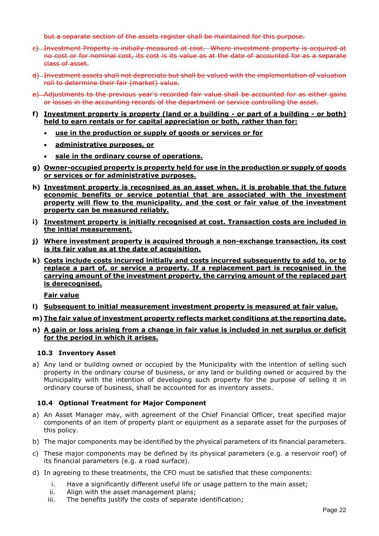but a separate section of the assets register shall be maintained for this purpose.

- c) Investment Property is initially measured at cost. Where investment property is acquired at no cost or for nominal cost, its cost is its value as at the date of accounted for as a separate class of asset.
- d) Investment assets shall not depreciate but shall be valued with the implementation of valuation roll to determine their fair (market) value.
- e) Adjustments to the previous year's recorded fair value shall be accounted for as either gains or losses in the accounting records of the department or service controlling the asset.
- **f) Investment property is property (land or a building - or part of a building - or both) held to earn rentals or for capital appreciation or both, rather than for:**
	- **use in the production or supply of goods or services or for**
	- **administrative purposes, or**
	- **sale in the ordinary course of operations.**
- **g) Owner-occupied property is property held for use in the production or supply of goods or services or for administrative purposes.**
- **h) Investment property is recognised as an asset when, it is probable that the future economic benefits or service potential that are associated with the investment property will flow to the municipality, and the cost or fair value of the investment property can be measured reliably.**
- **i) Investment property is initially recognised at cost. Transaction costs are included in the initial measurement.**
- **j) Where investment property is acquired through a non-exchange transaction, its cost is its fair value as at the date of acquisition.**
- **k) Costs include costs incurred initially and costs incurred subsequently to add to, or to replace a part of, or service a property. If a replacement part is recognised in the carrying amount of the investment property, the carrying amount of the replaced part is derecognised.**

**Fair value**

- **l) Subsequent to initial measurement investment property is measured at fair value.**
- **m) The fair value of investment property reflects market conditions at the reporting date.**
- **n) A gain or loss arising from a change in fair value is included in net surplus or deficit for the period in which it arises.**

#### <span id="page-21-0"></span>**10.3 Inventory Asset**

a) Any land or building owned or occupied by the Municipality with the intention of selling such property in the ordinary course of business, or any land or building owned or acquired by the Municipality with the intention of developing such property for the purpose of selling it in ordinary course of business, shall be accounted for as inventory assets.

#### <span id="page-21-1"></span>**10.4 Optional Treatment for Major Component**

- a) An Asset Manager may, with agreement of the Chief Financial Officer, treat specified major components of an item of property plant or equipment as a separate asset for the purposes of this policy.
- b) The major components may be identified by the physical parameters of its financial parameters.
- c) These major components may be defined by its physical parameters (e.g. a reservoir roof) of its financial parameters (e.g. a road surface).
- d) In agreeing to these treatments, the CFO must be satisfied that these components:
	- i. Have a significantly different useful life or usage pattern to the main asset;
	- ii. Align with the asset management plans;
	- iii. The benefits justify the costs of separate identification;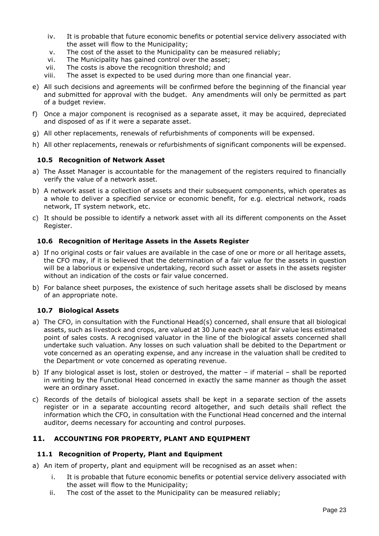- iv. It is probable that future economic benefits or potential service delivery associated with the asset will flow to the Municipality;
- v. The cost of the asset to the Municipality can be measured reliably;
- vi. The Municipality has gained control over the asset;
- vii. The costs is above the recognition threshold; and
- viii. The asset is expected to be used during more than one financial year.
- e) All such decisions and agreements will be confirmed before the beginning of the financial year and submitted for approval with the budget. Any amendments will only be permitted as part of a budget review.
- f) Once a major component is recognised as a separate asset, it may be acquired, depreciated and disposed of as if it were a separate asset.
- g) All other replacements, renewals of refurbishments of components will be expensed.
- h) All other replacements, renewals or refurbishments of significant components will be expensed.

#### <span id="page-22-0"></span>**10.5 Recognition of Network Asset**

- a) The Asset Manager is accountable for the management of the registers required to financially verify the value of a network asset.
- b) A network asset is a collection of assets and their subsequent components, which operates as a whole to deliver a specified service or economic benefit, for e.g. electrical network, roads network, IT system network, etc.
- c) It should be possible to identify a network asset with all its different components on the Asset Register.

#### <span id="page-22-1"></span>**10.6 Recognition of Heritage Assets in the Assets Register**

- a) If no original costs or fair values are available in the case of one or more or all heritage assets, the CFO may, if it is believed that the determination of a fair value for the assets in question will be a laborious or expensive undertaking, record such asset or assets in the assets register without an indication of the costs or fair value concerned.
- b) For balance sheet purposes, the existence of such heritage assets shall be disclosed by means of an appropriate note.

#### <span id="page-22-2"></span>**10.7 Biological Assets**

- a) The CFO, in consultation with the Functional Head(s) concerned, shall ensure that all biological assets, such as livestock and crops, are valued at 30 June each year at fair value less estimated point of sales costs. A recognised valuator in the line of the biological assets concerned shall undertake such valuation. Any losses on such valuation shall be debited to the Department or vote concerned as an operating expense, and any increase in the valuation shall be credited to the Department or vote concerned as operating revenue.
- b) If any biological asset is lost, stolen or destroyed, the matter if material shall be reported in writing by the Functional Head concerned in exactly the same manner as though the asset were an ordinary asset.
- c) Records of the details of biological assets shall be kept in a separate section of the assets register or in a separate accounting record altogether, and such details shall reflect the information which the CFO, in consultation with the Functional Head concerned and the internal auditor, deems necessary for accounting and control purposes.

#### <span id="page-22-3"></span>**11. ACCOUNTING FOR PROPERTY, PLANT AND EQUIPMENT**

#### <span id="page-22-4"></span>**11.1 Recognition of Property, Plant and Equipment**

a) An item of property, plant and equipment will be recognised as an asset when:

- i. It is probable that future economic benefits or potential service delivery associated with the asset will flow to the Municipality;
- ii. The cost of the asset to the Municipality can be measured reliably;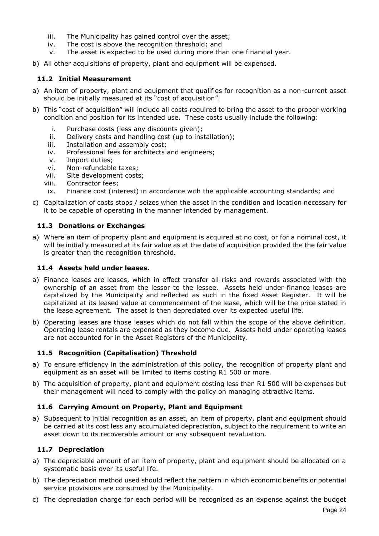- iii. The Municipality has gained control over the asset;
- iv. The cost is above the recognition threshold; and
- v. The asset is expected to be used during more than one financial year.
- b) All other acquisitions of property, plant and equipment will be expensed.

#### <span id="page-23-0"></span>**11.2 Initial Measurement**

- a) An item of property, plant and equipment that qualifies for recognition as a non-current asset should be initially measured at its "cost of acquisition".
- b) This "cost of acquisition" will include all costs required to bring the asset to the proper working condition and position for its intended use. These costs usually include the following:
	- i. Purchase costs (less any discounts given);
	- ii. Delivery costs and handling cost (up to installation);
	- iii. Installation and assembly cost;
	- iv. Professional fees for architects and engineers;
	- v. Import duties;
	- vi. Non-refundable taxes;
	- vii. Site development costs;
	- viii. Contractor fees;
	- ix. Finance cost (interest) in accordance with the applicable accounting standards; and
- c) Capitalization of costs stops / seizes when the asset in the condition and location necessary for it to be capable of operating in the manner intended by management.

#### <span id="page-23-1"></span>**11.3 Donations or Exchanges**

a) Where an item of property plant and equipment is acquired at no cost, or for a nominal cost, it will be initially measured at its fair value as at the date of acquisition provided the the fair value is greater than the recognition threshold.

#### <span id="page-23-2"></span>**11.4 Assets held under leases.**

- a) Finance leases are leases, which in effect transfer all risks and rewards associated with the ownership of an asset from the lessor to the lessee. Assets held under finance leases are capitalized by the Municipality and reflected as such in the fixed Asset Register. It will be capitalized at its leased value at commencement of the lease, which will be the price stated in the lease agreement. The asset is then depreciated over its expected useful life.
- b) Operating leases are those leases which do not fall within the scope of the above definition. Operating lease rentals are expensed as they become due. Assets held under operating leases are not accounted for in the Asset Registers of the Municipality.

#### <span id="page-23-3"></span>**11.5 Recognition (Capitalisation) Threshold**

- a) To ensure efficiency in the administration of this policy, the recognition of property plant and equipment as an asset will be limited to items costing R1 500 or more.
- b) The acquisition of property, plant and equipment costing less than R1 500 will be expenses but their management will need to comply with the policy on managing attractive items.

#### <span id="page-23-4"></span>**11.6 Carrying Amount on Property, Plant and Equipment**

a) Subsequent to initial recognition as an asset, an item of property, plant and equipment should be carried at its cost less any accumulated depreciation, subject to the requirement to write an asset down to its recoverable amount or any subsequent revaluation.

#### <span id="page-23-5"></span>**11.7 Depreciation**

- a) The depreciable amount of an item of property, plant and equipment should be allocated on a systematic basis over its useful life.
- b) The depreciation method used should reflect the pattern in which economic benefits or potential service provisions are consumed by the Municipality.
- c) The depreciation charge for each period will be recognised as an expense against the budget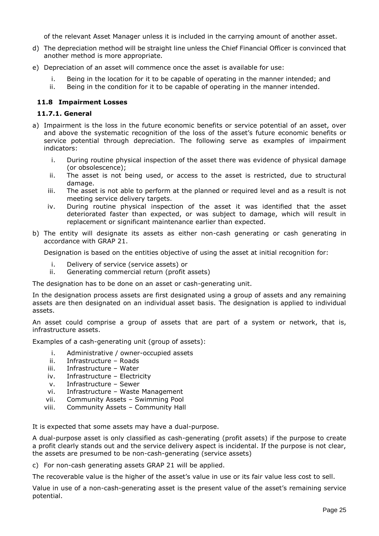of the relevant Asset Manager unless it is included in the carrying amount of another asset.

- d) The depreciation method will be straight line unless the Chief Financial Officer is convinced that another method is more appropriate.
- e) Depreciation of an asset will commence once the asset is available for use:
	- i. Being in the location for it to be capable of operating in the manner intended; and
	- ii. Being in the condition for it to be capable of operating in the manner intended.

#### <span id="page-24-0"></span>**11.8 Impairment Losses**

#### **11.7.1. General**

- a) Impairment is the loss in the future economic benefits or service potential of an asset, over and above the systematic recognition of the loss of the asset's future economic benefits or service potential through depreciation. The following serve as examples of impairment indicators:
	- i. During routine physical inspection of the asset there was evidence of physical damage (or obsolescence);
	- ii. The asset is not being used, or access to the asset is restricted, due to structural damage.
	- iii. The asset is not able to perform at the planned or required level and as a result is not meeting service delivery targets.
	- iv. During routine physical inspection of the asset it was identified that the asset deteriorated faster than expected, or was subject to damage, which will result in replacement or significant maintenance earlier than expected.
- b) The entity will designate its assets as either non-cash generating or cash generating in accordance with GRAP 21.

Designation is based on the entities objective of using the asset at initial recognition for:

- i. Delivery of service (service assets) or
- ii. Generating commercial return (profit assets)

The designation has to be done on an asset or cash-generating unit.

In the designation process assets are first designated using a group of assets and any remaining assets are then designated on an individual asset basis. The designation is applied to individual assets.

An asset could comprise a group of assets that are part of a system or network, that is, infrastructure assets.

Examples of a cash-generating unit (group of assets):

- i. Administrative / owner-occupied assets
- ii. Infrastructure Roads
- iii. Infrastructure Water
- iv. Infrastructure Electricity
- v. Infrastructure Sewer
- vi. Infrastructure Waste Management
- vii. Community Assets Swimming Pool
- viii. Community Assets Community Hall

It is expected that some assets may have a dual-purpose.

A dual-purpose asset is only classified as cash-generating (profit assets) if the purpose to create a profit clearly stands out and the service delivery aspect is incidental. If the purpose is not clear, the assets are presumed to be non-cash-generating (service assets)

c) For non-cash generating assets GRAP 21 will be applied.

The recoverable value is the higher of the asset's value in use or its fair value less cost to sell.

Value in use of a non-cash-generating asset is the present value of the asset's remaining service potential.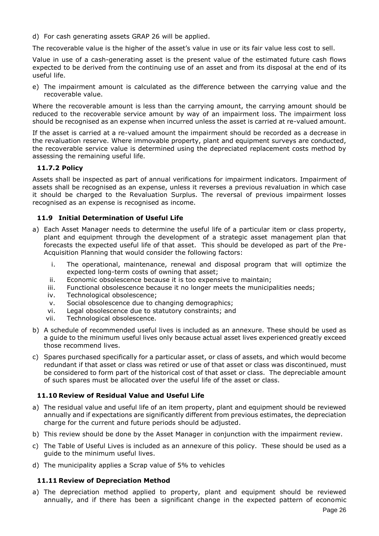d) For cash generating assets GRAP 26 will be applied.

The recoverable value is the higher of the asset's value in use or its fair value less cost to sell.

Value in use of a cash-generating asset is the present value of the estimated future cash flows expected to be derived from the continuing use of an asset and from its disposal at the end of its useful life.

e) The impairment amount is calculated as the difference between the carrying value and the recoverable value.

Where the recoverable amount is less than the carrying amount, the carrying amount should be reduced to the recoverable service amount by way of an impairment loss. The impairment loss should be recognised as an expense when incurred unless the asset is carried at re-valued amount.

If the asset is carried at a re-valued amount the impairment should be recorded as a decrease in the revaluation reserve. Where immovable property, plant and equipment surveys are conducted, the recoverable service value is determined using the depreciated replacement costs method by assessing the remaining useful life.

#### **11.7.2 Policy**

Assets shall be inspected as part of annual verifications for impairment indicators. Impairment of assets shall be recognised as an expense, unless it reverses a previous revaluation in which case it should be charged to the Revaluation Surplus. The reversal of previous impairment losses recognised as an expense is recognised as income.

#### <span id="page-25-0"></span>**11.9 Initial Determination of Useful Life**

- a) Each Asset Manager needs to determine the useful life of a particular item or class property, plant and equipment through the development of a strategic asset management plan that forecasts the expected useful life of that asset. This should be developed as part of the Pre-Acquisition Planning that would consider the following factors:
	- i. The operational, maintenance, renewal and disposal program that will optimize the expected long-term costs of owning that asset;
	- ii. Economic obsolescence because it is too expensive to maintain;
	- iii. Functional obsolescence because it no longer meets the municipalities needs;
	- iv. Technological obsolescence;
	- v. Social obsolescence due to changing demographics;
	- vi. Legal obsolescence due to statutory constraints; and
	- vii. Technological obsolescence.
- b) A schedule of recommended useful lives is included as an annexure. These should be used as a guide to the minimum useful lives only because actual asset lives experienced greatly exceed those recommend lives.
- c) Spares purchased specifically for a particular asset, or class of assets, and which would become redundant if that asset or class was retired or use of that asset or class was discontinued, must be considered to form part of the historical cost of that asset or class. The depreciable amount of such spares must be allocated over the useful life of the asset or class.

#### <span id="page-25-1"></span>**11.10 Review of Residual Value and Useful Life**

- a) The residual value and useful life of an item property, plant and equipment should be reviewed annually and if expectations are significantly different from previous estimates, the depreciation charge for the current and future periods should be adjusted.
- b) This review should be done by the Asset Manager in conjunction with the impairment review.
- c) The Table of Useful Lives is included as an annexure of this policy. These should be used as a guide to the minimum useful lives.
- d) The municipality applies a Scrap value of 5% to vehicles

#### <span id="page-25-2"></span>**11.11 Review of Depreciation Method**

a) The depreciation method applied to property, plant and equipment should be reviewed annually, and if there has been a significant change in the expected pattern of economic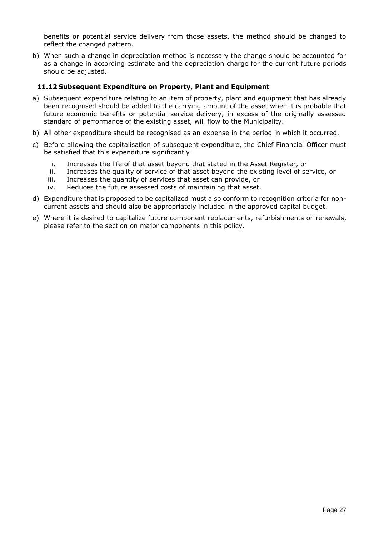benefits or potential service delivery from those assets, the method should be changed to reflect the changed pattern.

b) When such a change in depreciation method is necessary the change should be accounted for as a change in according estimate and the depreciation charge for the current future periods should be adjusted.

#### <span id="page-26-0"></span>**11.12 Subsequent Expenditure on Property, Plant and Equipment**

- a) Subsequent expenditure relating to an item of property, plant and equipment that has already been recognised should be added to the carrying amount of the asset when it is probable that future economic benefits or potential service delivery, in excess of the originally assessed standard of performance of the existing asset, will flow to the Municipality.
- b) All other expenditure should be recognised as an expense in the period in which it occurred.
- c) Before allowing the capitalisation of subsequent expenditure, the Chief Financial Officer must be satisfied that this expenditure significantly:
	- i. Increases the life of that asset beyond that stated in the Asset Register, or
	- ii. Increases the quality of service of that asset beyond the existing level of service, or
	- iii. Increases the quantity of services that asset can provide, or
	- iv. Reduces the future assessed costs of maintaining that asset.
- d) Expenditure that is proposed to be capitalized must also conform to recognition criteria for noncurrent assets and should also be appropriately included in the approved capital budget.
- e) Where it is desired to capitalize future component replacements, refurbishments or renewals, please refer to the section on major components in this policy.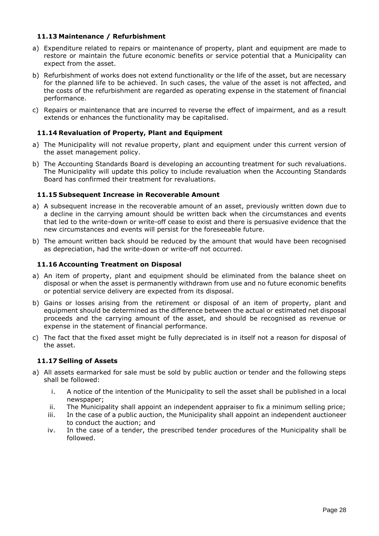#### <span id="page-27-0"></span>**11.13 Maintenance / Refurbishment**

- a) Expenditure related to repairs or maintenance of property, plant and equipment are made to restore or maintain the future economic benefits or service potential that a Municipality can expect from the asset.
- b) Refurbishment of works does not extend functionality or the life of the asset, but are necessary for the planned life to be achieved. In such cases, the value of the asset is not affected, and the costs of the refurbishment are regarded as operating expense in the statement of financial performance.
- c) Repairs or maintenance that are incurred to reverse the effect of impairment, and as a result extends or enhances the functionality may be capitalised.

#### <span id="page-27-1"></span>**11.14 Revaluation of Property, Plant and Equipment**

- a) The Municipality will not revalue property, plant and equipment under this current version of the asset management policy.
- b) The Accounting Standards Board is developing an accounting treatment for such revaluations. The Municipality will update this policy to include revaluation when the Accounting Standards Board has confirmed their treatment for revaluations.

#### <span id="page-27-2"></span>**11.15 Subsequent Increase in Recoverable Amount**

- a) A subsequent increase in the recoverable amount of an asset, previously written down due to a decline in the carrying amount should be written back when the circumstances and events that led to the write-down or write-off cease to exist and there is persuasive evidence that the new circumstances and events will persist for the foreseeable future.
- b) The amount written back should be reduced by the amount that would have been recognised as depreciation, had the write-down or write-off not occurred.

#### <span id="page-27-3"></span>**11.16 Accounting Treatment on Disposal**

- a) An item of property, plant and equipment should be eliminated from the balance sheet on disposal or when the asset is permanently withdrawn from use and no future economic benefits or potential service delivery are expected from its disposal.
- b) Gains or losses arising from the retirement or disposal of an item of property, plant and equipment should be determined as the difference between the actual or estimated net disposal proceeds and the carrying amount of the asset, and should be recognised as revenue or expense in the statement of financial performance.
- c) The fact that the fixed asset might be fully depreciated is in itself not a reason for disposal of the asset.

#### <span id="page-27-4"></span>**11.17 Selling of Assets**

- a) All assets earmarked for sale must be sold by public auction or tender and the following steps shall be followed:
	- i. A notice of the intention of the Municipality to sell the asset shall be published in a local newspaper;
	- ii. The Municipality shall appoint an independent appraiser to fix a minimum selling price;
	- iii. In the case of a public auction, the Municipality shall appoint an independent auctioneer to conduct the auction; and
	- iv. In the case of a tender, the prescribed tender procedures of the Municipality shall be followed.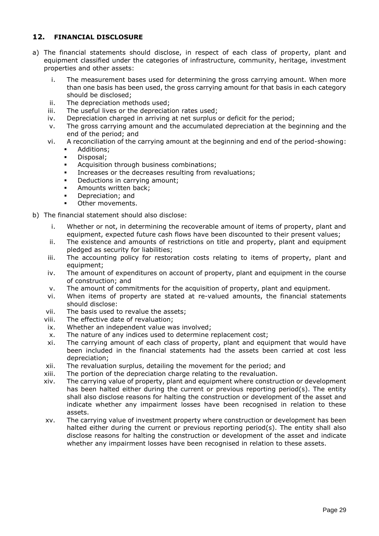#### <span id="page-28-0"></span>**12. FINANCIAL DISCLOSURE**

- a) The financial statements should disclose, in respect of each class of property, plant and equipment classified under the categories of infrastructure, community, heritage, investment properties and other assets:
	- i. The measurement bases used for determining the gross carrying amount. When more than one basis has been used, the gross carrying amount for that basis in each category should be disclosed;
	- ii. The depreciation methods used;
	- iii. The useful lives or the depreciation rates used;
	- iv. Depreciation charged in arriving at net surplus or deficit for the period;
	- v. The gross carrying amount and the accumulated depreciation at the beginning and the end of the period; and
	- vi. A reconciliation of the carrying amount at the beginning and end of the period-showing:
		- Additions;
		- **Disposal**;
		- Acquisition through business combinations;
		- **Increases or the decreases resulting from revaluations;**
		- Deductions in carrying amount;
		- Amounts written back;
		- Depreciation; and
		- Other movements.
- b) The financial statement should also disclose:
	- i. Whether or not, in determining the recoverable amount of items of property, plant and equipment, expected future cash flows have been discounted to their present values;
	- ii. The existence and amounts of restrictions on title and property, plant and equipment pledged as security for liabilities;
	- iii. The accounting policy for restoration costs relating to items of property, plant and equipment;
	- iv. The amount of expenditures on account of property, plant and equipment in the course of construction; and
	- v. The amount of commitments for the acquisition of property, plant and equipment.
	- vi. When items of property are stated at re-valued amounts, the financial statements should disclose:
	- vii. The basis used to revalue the assets;
	- viii. The effective date of revaluation;
	- ix. Whether an independent value was involved;
	- x. The nature of any indices used to determine replacement cost;
	- xi. The carrying amount of each class of property, plant and equipment that would have been included in the financial statements had the assets been carried at cost less depreciation;
	- xii. The revaluation surplus, detailing the movement for the period; and
	- xiii. The portion of the depreciation charge relating to the revaluation.
	- xiv. The carrying value of property, plant and equipment where construction or development has been halted either during the current or previous reporting period(s). The entity shall also disclose reasons for halting the construction or development of the asset and indicate whether any impairment losses have been recognised in relation to these assets.
	- xv. The carrying value of investment property where construction or development has been halted either during the current or previous reporting period(s). The entity shall also disclose reasons for halting the construction or development of the asset and indicate whether any impairment losses have been recognised in relation to these assets.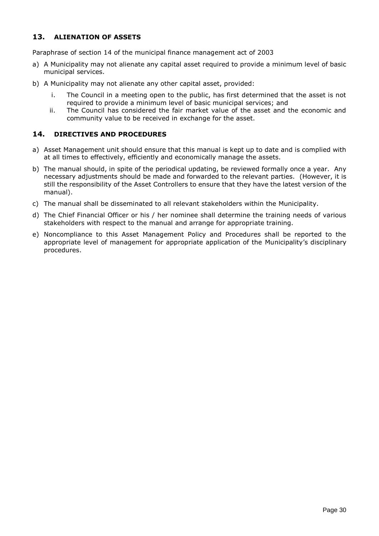#### <span id="page-29-0"></span>**13. ALIENATION OF ASSETS**

Paraphrase of section 14 of the municipal finance management act of 2003

- a) A Municipality may not alienate any capital asset required to provide a minimum level of basic municipal services.
- b) A Municipality may not alienate any other capital asset, provided:
	- i. The Council in a meeting open to the public, has first determined that the asset is not required to provide a minimum level of basic municipal services; and
	- ii. The Council has considered the fair market value of the asset and the economic and community value to be received in exchange for the asset.

#### <span id="page-29-1"></span>**14. DIRECTIVES AND PROCEDURES**

- a) Asset Management unit should ensure that this manual is kept up to date and is complied with at all times to effectively, efficiently and economically manage the assets.
- b) The manual should, in spite of the periodical updating, be reviewed formally once a year. Any necessary adjustments should be made and forwarded to the relevant parties. (However, it is still the responsibility of the Asset Controllers to ensure that they have the latest version of the manual).
- c) The manual shall be disseminated to all relevant stakeholders within the Municipality.
- d) The Chief Financial Officer or his / her nominee shall determine the training needs of various stakeholders with respect to the manual and arrange for appropriate training.
- e) Noncompliance to this Asset Management Policy and Procedures shall be reported to the appropriate level of management for appropriate application of the Municipality's disciplinary procedures.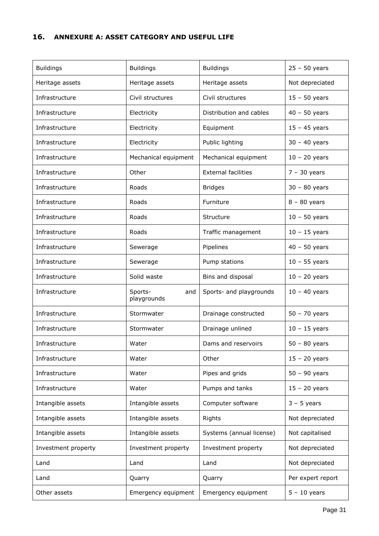#### <span id="page-30-0"></span>**16. ANNEXURE A: ASSET CATEGORY AND USEFUL LIFE**

| <b>Buildings</b>    | <b>Buildings</b>              | <b>Buildings</b>           | $25 - 50$ years   |
|---------------------|-------------------------------|----------------------------|-------------------|
| Heritage assets     | Heritage assets               | Heritage assets            | Not depreciated   |
| Infrastructure      | Civil structures              | Civil structures           | $15 - 50$ years   |
| Infrastructure      | Electricity                   | Distribution and cables    | $40 - 50$ years   |
| Infrastructure      | Electricity                   | Equipment                  | $15 - 45$ years   |
| Infrastructure      | Electricity                   | Public lighting            | $30 - 40$ years   |
| Infrastructure      | Mechanical equipment          | Mechanical equipment       | $10 - 20$ years   |
| Infrastructure      | Other                         | <b>External facilities</b> | $7 - 30$ years    |
| Infrastructure      | Roads                         | <b>Bridges</b>             | $30 - 80$ years   |
| Infrastructure      | Roads                         | Furniture                  | $8 - 80$ years    |
| Infrastructure      | Roads                         | Structure                  | $10 - 50$ years   |
| Infrastructure      | Roads                         | Traffic management         | $10 - 15$ years   |
| Infrastructure      | Sewerage                      | Pipelines                  | $40 - 50$ years   |
| Infrastructure      | Sewerage                      | Pump stations              | $10 - 55$ years   |
| Infrastructure      | Solid waste                   | Bins and disposal          | $10 - 20$ years   |
| Infrastructure      | Sports-<br>and<br>playgrounds | Sports- and playgrounds    | $10 - 40$ years   |
| Infrastructure      | Stormwater                    | Drainage constructed       | $50 - 70$ years   |
| Infrastructure      | Stormwater                    | Drainage unlined           | $10 - 15$ years   |
| Infrastructure      | Water                         | Dams and reservoirs        | $50 - 80$ years   |
| Infrastructure      | Water                         | Other                      | $15 - 20$ years   |
| Infrastructure      | Water                         | Pipes and grids            | $50 - 90$ years   |
| Infrastructure      | Water                         | Pumps and tanks            | $15 - 20$ years   |
| Intangible assets   | Intangible assets             | Computer software          | $3 - 5$ years     |
| Intangible assets   | Intangible assets             | Rights                     | Not depreciated   |
| Intangible assets   | Intangible assets             | Systems (annual license)   | Not capitalised   |
| Investment property | Investment property           | Investment property        | Not depreciated   |
| Land                | Land                          | Land                       | Not depreciated   |
| Land                | Quarry                        | Quarry                     | Per expert report |
| Other assets        | Emergency equipment           | Emergency equipment        | $5 - 10$ years    |